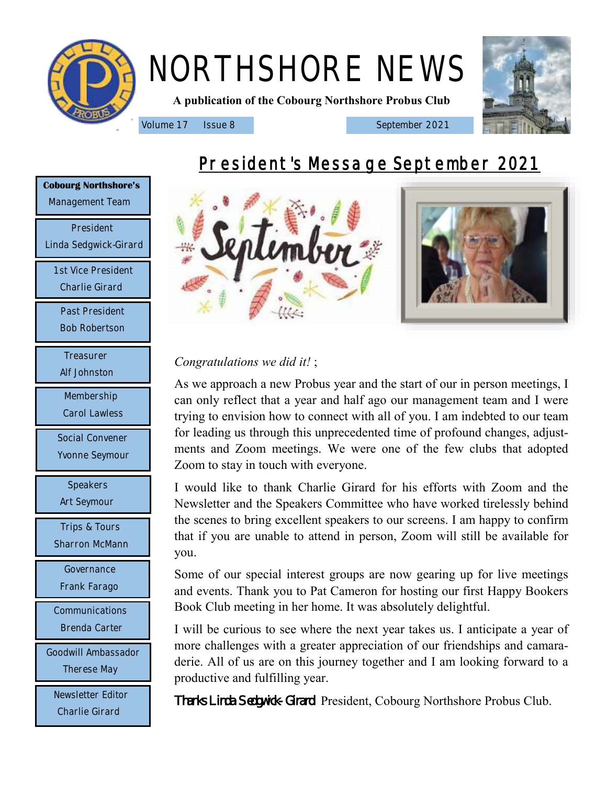

NORTHSHORE NEWS

**A publication of the Cobourg Northshore Probus Club**

**Volume 17** Issue 8 **September 2021** 



### President's Message September 2021

**Cobourg Northshore's** 

 **Management Team**

 **President Linda Sedgwick-Girard**

> **1st Vice President Charlie Girard**

 **Past President Bob Robertson**

 **Treasurer Alf Johnston**

 **Membership Carol Lawless**

 **Social Convener Yvonne Seymour**

 **Speakers Art Seymour**

 **Trips & Tours Sharron McMann**

 **Governance** 

 **Frank Farago**

 **Communications Brenda Carter**

 **Goodwill Ambassador Therese May**

> **Newsletter Editor Charlie Girard**



### *Congratulations we did it!* ;

As we approach a new Probus year and the start of our in person meetings, I can only reflect that a year and half ago our management team and I were trying to envision how to connect with all of you. I am indebted to our team for leading us through this unprecedented time of profound changes, adjustments and Zoom meetings. We were one of the few clubs that adopted Zoom to stay in touch with everyone.

I would like to thank Charlie Girard for his efforts with Zoom and the Newsletter and the Speakers Committee who have worked tirelessly behind the scenes to bring excellent speakers to our screens. I am happy to confirm that if you are unable to attend in person, Zoom will still be available for you.

Some of our special interest groups are now gearing up for live meetings and events. Thank you to Pat Cameron for hosting our first Happy Bookers Book Club meeting in her home. It was absolutely delightful.

I will be curious to see where the next year takes us. I anticipate a year of more challenges with a greater appreciation of our friendships and camaraderie. All of us are on this journey together and I am looking forward to a productive and fulfilling year.

*Thanks Linda Sedgwick-Girard* President, Cobourg Northshore Probus Club.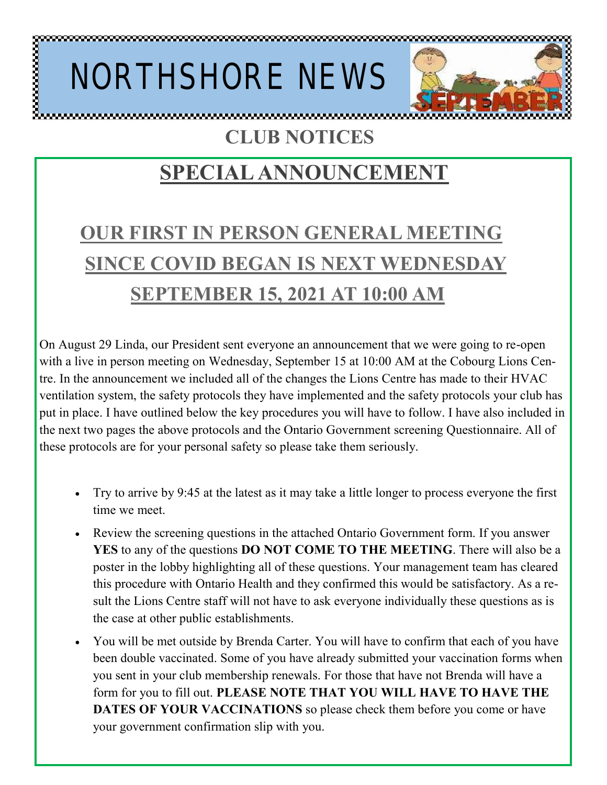

### **CLUB NOTICES**

## **SPECIAL ANNOUNCEMENT**

# **OUR FIRST IN PERSON GENERAL MEETING SINCE COVID BEGAN IS NEXT WEDNESDAY SEPTEMBER 15, 2021 AT 10:00 AM**

On August 29 Linda, our President sent everyone an announcement that we were going to re-open with a live in person meeting on Wednesday, September 15 at 10:00 AM at the Cobourg Lions Centre. In the announcement we included all of the changes the Lions Centre has made to their HVAC ventilation system, the safety protocols they have implemented and the safety protocols your club has put in place. I have outlined below the key procedures you will have to follow. I have also included in the next two pages the above protocols and the Ontario Government screening Questionnaire. All of these protocols are for your personal safety so please take them seriously.

- Try to arrive by 9:45 at the latest as it may take a little longer to process everyone the first time we meet.
- Review the screening questions in the attached Ontario Government form. If you answer **YES** to any of the questions **DO NOT COME TO THE MEETING**. There will also be a poster in the lobby highlighting all of these questions. Your management team has cleared this procedure with Ontario Health and they confirmed this would be satisfactory. As a result the Lions Centre staff will not have to ask everyone individually these questions as is the case at other public establishments.
- You will be met outside by Brenda Carter. You will have to confirm that each of you have been double vaccinated. Some of you have already submitted your vaccination forms when you sent in your club membership renewals. For those that have not Brenda will have a form for you to fill out. **PLEASE NOTE THAT YOU WILL HAVE TO HAVE THE DATES OF YOUR VACCINATIONS** so please check them before you come or have your government confirmation slip with you.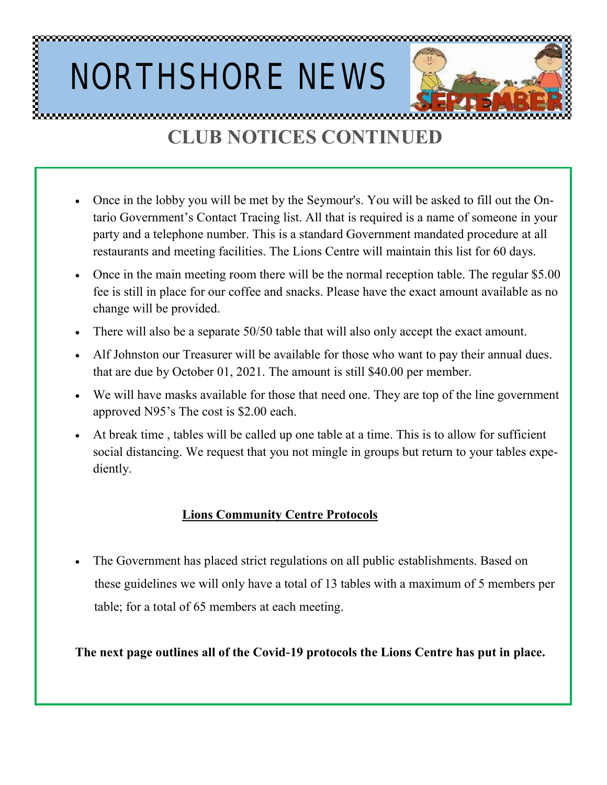Ξ

## **CLUB NOTICES CONTINUED**

- Once in the lobby you will be met by the Seymour's. You will be asked to fill out the Ontario Government's Contact Tracing list. All that is required is a name of someone in your party and a telephone number. This is a standard Government mandated procedure at all restaurants and meeting facilities. The Lions Centre will maintain this list for 60 days.
- Once in the main meeting room there will be the normal reception table. The regular \$5.00 fee is still in place for our coffee and snacks. Please have the exact amount available as no change will be provided.
- There will also be a separate 50/50 table that will also only accept the exact amount.
- Alf Johnston our Treasurer will be available for those who want to pay their annual dues. that are due by October 01, 2021. The amount is still \$40.00 per member.
- We will have masks available for those that need one. They are top of the line government approved N95's The cost is \$2.00 each.
- At break time, tables will be called up one table at a time. This is to allow for sufficient social distancing. We request that you not mingle in groups but return to your tables expediently.

### **Lions Community Centre Protocols**

• The Government has placed strict regulations on all public establishments. Based on these guidelines we will only have a total of 13 tables with a maximum of 5 members per table; for a total of 65 members at each meeting.

**The next page outlines all of the Covid-19 protocols the Lions Centre has put in place.**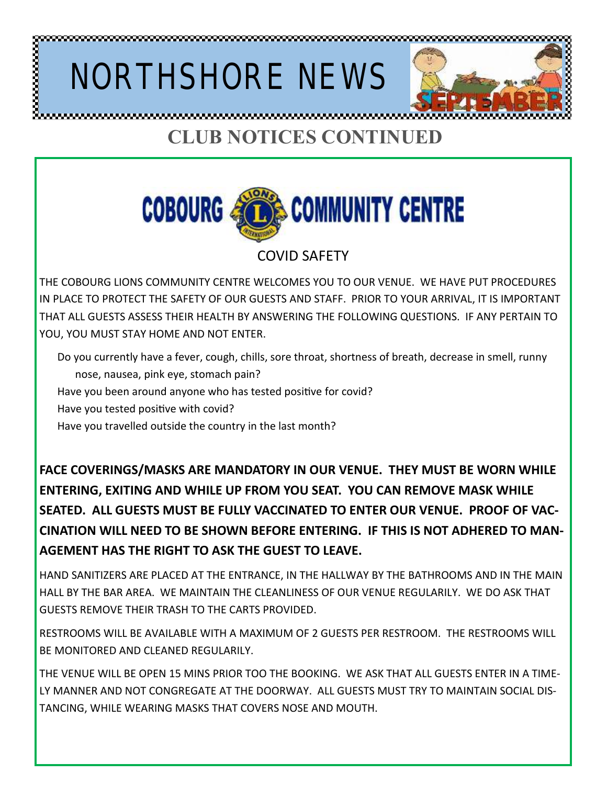# NORTHSHORE NEWS SEPTENED

Ī

## **CLUB NOTICES CONTINUED**



COVID SAFETY

THE COBOURG LIONS COMMUNITY CENTRE WELCOMES YOU TO OUR VENUE. WE HAVE PUT PROCEDURES IN PLACE TO PROTECT THE SAFETY OF OUR GUESTS AND STAFF. PRIOR TO YOUR ARRIVAL, IT IS IMPORTANT THAT ALL GUESTS ASSESS THEIR HEALTH BY ANSWERING THE FOLLOWING QUESTIONS. IF ANY PERTAIN TO YOU, YOU MUST STAY HOME AND NOT ENTER.

Do you currently have a fever, cough, chills, sore throat, shortness of breath, decrease in smell, runny nose, nausea, pink eye, stomach pain? Have you been around anyone who has tested positive for covid? Have you tested positive with covid? Have you travelled outside the country in the last month?

**FACE COVERINGS/MASKS ARE MANDATORY IN OUR VENUE. THEY MUST BE WORN WHILE ENTERING, EXITING AND WHILE UP FROM YOU SEAT. YOU CAN REMOVE MASK WHILE SEATED. ALL GUESTS MUST BE FULLY VACCINATED TO ENTER OUR VENUE. PROOF OF VAC-CINATION WILL NEED TO BE SHOWN BEFORE ENTERING. IF THIS IS NOT ADHERED TO MAN-AGEMENT HAS THE RIGHT TO ASK THE GUEST TO LEAVE.**

HAND SANITIZERS ARE PLACED AT THE ENTRANCE, IN THE HALLWAY BY THE BATHROOMS AND IN THE MAIN HALL BY THE BAR AREA. WE MAINTAIN THE CLEANLINESS OF OUR VENUE REGULARILY. WE DO ASK THAT GUESTS REMOVE THEIR TRASH TO THE CARTS PROVIDED.

RESTROOMS WILL BE AVAILABLE WITH A MAXIMUM OF 2 GUESTS PER RESTROOM. THE RESTROOMS WILL BE MONITORED AND CLEANED REGULARILY.

THE VENUE WILL BE OPEN 15 MINS PRIOR TOO THE BOOKING. WE ASK THAT ALL GUESTS ENTER IN A TIME-LY MANNER AND NOT CONGREGATE AT THE DOORWAY. ALL GUESTS MUST TRY TO MAINTAIN SOCIAL DIS-TANCING, WHILE WEARING MASKS THAT COVERS NOSE AND MOUTH.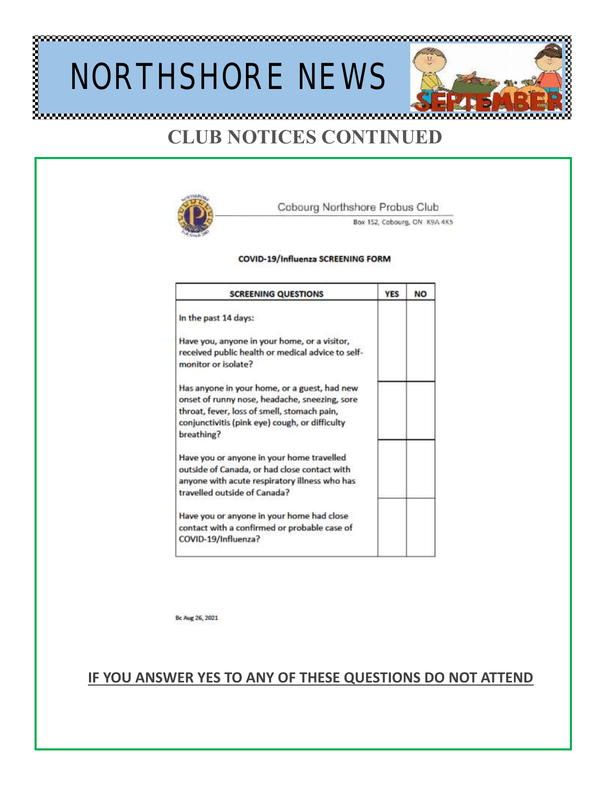# NORTHSHORE NEWS SERIER



## **CLUB NOTICES CONTINUED**



Cobourg Northshore Probus Club

Box 152, Cobourg, ON K9A 4K5

#### COVID-19/Influenza SCREENING FORM

| <b>SCREENING QUESTIONS</b>                                                                                                                                                                                   | <b>YES</b> | NO |
|--------------------------------------------------------------------------------------------------------------------------------------------------------------------------------------------------------------|------------|----|
| In the past 14 days:                                                                                                                                                                                         |            |    |
| Have you, anyone in your home, or a visitor,<br>received public health or medical advice to self-<br>monitor or isolate?                                                                                     |            |    |
| Has anyone in your home, or a guest, had new<br>onset of runny nose, headache, sneezing, sore<br>throat, fever, loss of smell, stomach pain,<br>conjunctivitis (pink eye) cough, or difficulty<br>breathing? |            |    |
| Have you or anyone in your home travelled<br>outside of Canada, or had close contact with<br>anyone with acute respiratory illness who has<br>travelled outside of Canada?                                   |            |    |
| Have you or anyone in your home had close<br>contact with a confirmed or probable case of<br>COVID-19/Influenza?                                                                                             |            |    |

Bc Aug 26, 2021

### **IF YOU ANSWER YES TO ANY OF THESE QUESTIONS DO NOT ATTEND**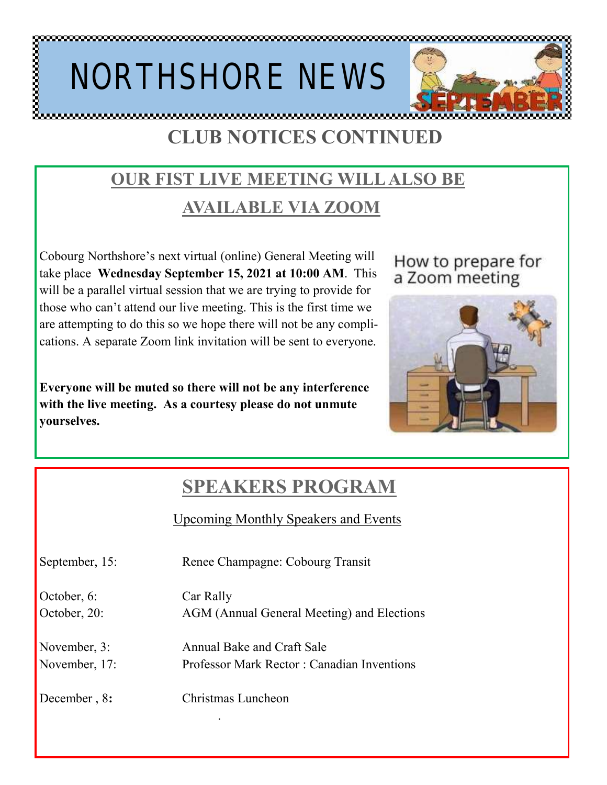# NORTHSHORE NEWS SEPTEMBER

## **CLUB NOTICES CONTINUED**

### **OUR FIST LIVE MEETING WILL ALSO BE AVAILABLE VIA ZOOM**

Cobourg Northshore's next virtual (online) General Meeting will take place **Wednesday September 15, 2021 at 10:00 AM**. This will be a parallel virtual session that we are trying to provide for those who can't attend our live meeting. This is the first time we are attempting to do this so we hope there will not be any complications. A separate Zoom link invitation will be sent to everyone.

**Everyone will be muted so there will not be any interference with the live meeting. As a courtesy please do not unmute yourselves.**

# How to prepare for<br>a Zoom meeting



### **SPEAKERS PROGRAM**

Upcoming Monthly Speakers and Events

| Renee Champagne: Cobourg Transit           |
|--------------------------------------------|
| Car Rally                                  |
| AGM (Annual General Meeting) and Elections |
| Annual Bake and Craft Sale                 |
| Professor Mark Rector: Canadian Inventions |
| Christmas Luncheon                         |
|                                            |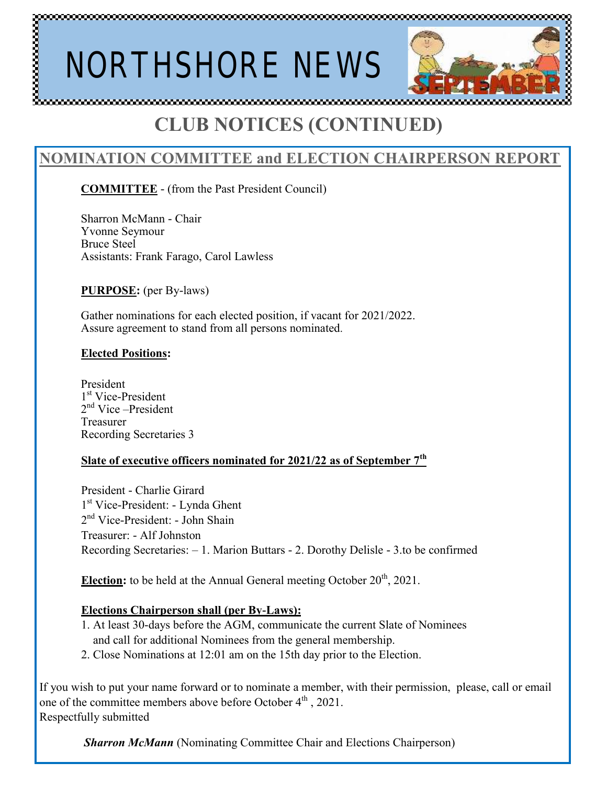### **CLUB NOTICES (CONTINUED)**

333333

### **NOMINATION COMMITTEE and ELECTION CHAIRPERSON REPORT**

**COMMITTEE** - (from the Past President Council)

Sharron McMann - Chair Yvonne Seymour Bruce Steel Assistants: Frank Farago, Carol Lawless

**PURPOSE:** (per By-laws)

Gather nominations for each elected position, if vacant for 2021/2022. Assure agreement to stand from all persons nominated.

#### **Elected Positions:**

President 1<sup>st</sup> Vice-President 2<sup>nd</sup> Vice – President Treasurer Recording Secretaries 3

#### **Slate of executive officers nominated for 2021/22 as of September 7th**

 President - Charlie Girard 1<sup>st</sup> Vice-President: - Lynda Ghent 2<sup>nd</sup> Vice-President: - John Shain Treasurer: - Alf Johnston Recording Secretaries: – 1. Marion Buttars - 2. Dorothy Delisle - 3.to be confirmed

**Election:** to be held at the Annual General meeting October 20<sup>th</sup>, 2021.

#### **Elections Chairperson shall (per By-Laws):**

- 1. At least 30-days before the AGM, communicate the current Slate of Nominees and call for additional Nominees from the general membership.
- 2. Close Nominations at 12:01 am on the 15th day prior to the Election.

If you wish to put your name forward or to nominate a member, with their permission, please, call or email one of the committee members above before October 4<sup>th</sup>, 2021. Respectfully submitted

*Sharron McMann* (Nominating Committee Chair and Elections Chairperson)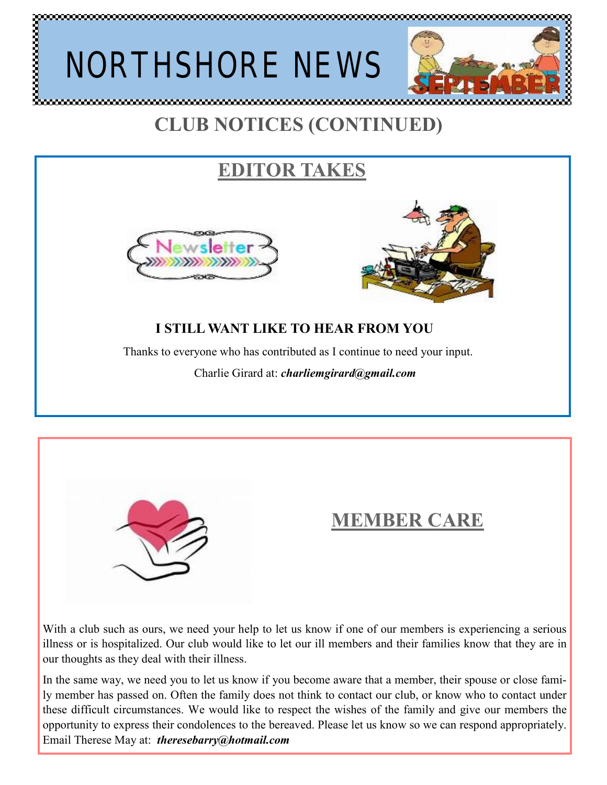## **CLUB NOTICES (CONTINUED)**

### **EDITOR TAKES**





5333333333

### **I STILL WANT LIKE TO HEAR FROM YOU**

Thanks to everyone who has contributed as I continue to need your input.

Charlie Girard at: *charliemgirard@gmail.com*



### **MEMBER CARE**

With a club such as ours, we need your help to let us know if one of our members is experiencing a serious illness or is hospitalized. Our club would like to let our ill members and their families know that they are in our thoughts as they deal with their illness.

In the same way, we need you to let us know if you become aware that a member, their spouse or close family member has passed on. Often the family does not think to contact our club, or know who to contact under these difficult circumstances. We would like to respect the wishes of the family and give our members the opportunity to express their condolences to the bereaved. Please let us know so we can respond appropriately. Email Therese May at: *theresebarry@hotmail.com*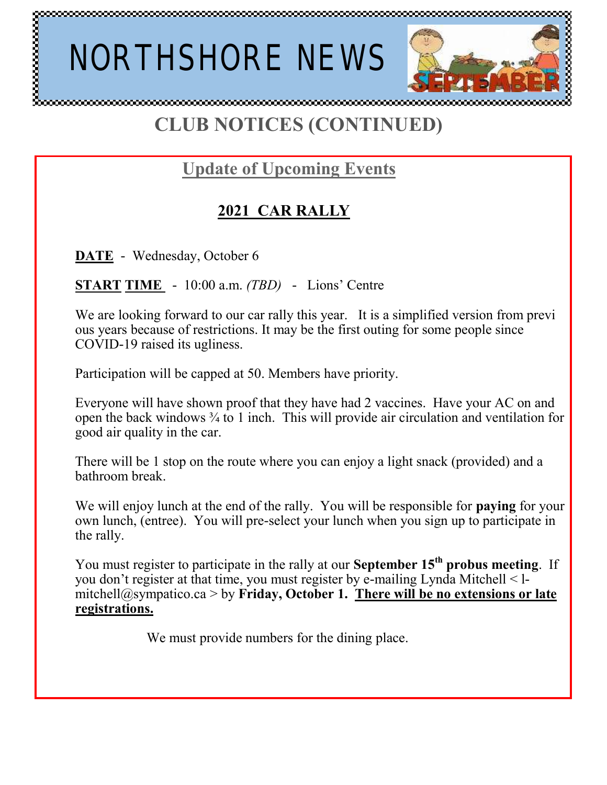

## **CLUB NOTICES (CONTINUED)**

### **Update of Upcoming Events**

### **2021 CAR RALLY**

**DATE** - Wednesday, October 6

**START TIME** - 10:00 a.m. *(TBD)* - Lions' Centre

We are looking forward to our car rally this year. It is a simplified version from previ ous years because of restrictions. It may be the first outing for some people since COVID-19 raised its ugliness.

Participation will be capped at 50. Members have priority.

Everyone will have shown proof that they have had 2 vaccines. Have your AC on and open the back windows  $\frac{3}{4}$  to 1 inch. This will provide air circulation and ventilation for good air quality in the car.

There will be 1 stop on the route where you can enjoy a light snack (provided) and a bathroom break.

We will enjoy lunch at the end of the rally. You will be responsible for **paying** for your own lunch, (entree). You will pre-select your lunch when you sign up to participate in the rally.

You must register to participate in the rally at our **September 15th probus meeting**. If you don't register at that time, you must register by e-mailing Lynda Mitchell < [l](mailto:l-mitchell@sympatico.ca)[mitchell@sympatico.ca](mailto:l-mitchell@sympatico.ca) > by **Friday, October 1. There will be no extensions or late registrations.**

We must provide numbers for the dining place.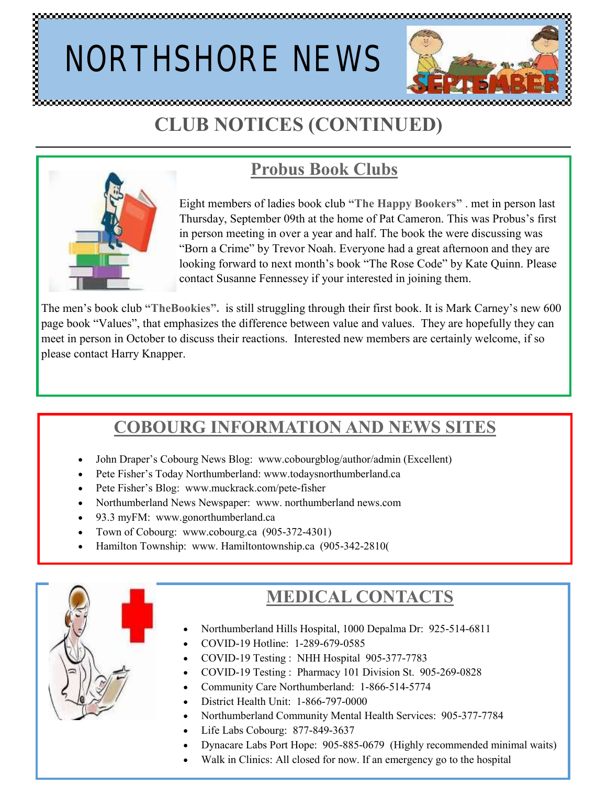

### **Probus Book Clubs**



Eight members of ladies book club **"The Happy Bookers"** . met in person last Thursday, September 09th at the home of Pat Cameron. This was Probus's first in person meeting in over a year and half. The book the were discussing was "Born a Crime" by Trevor Noah. Everyone had a great afternoon and they are looking forward to next month's book "The Rose Code" by Kate Quinn. Please contact Susanne Fennessey if your interested in joining them.

The men's book club **"TheBookies".** is still struggling through their first book. It is Mark Carney's new 600 page book "Values", that emphasizes the difference between value and values. They are hopefully they can meet in person in October to discuss their reactions. Interested new members are certainly welcome, if so please contact Harry Knapper.

### **COBOURG INFORMATION AND NEWS SITES**

- John Draper's Cobourg News Blog: www.cobourgblog/author/admin (Excellent)
- Pete Fisher's Today Northumberland: www.todaysnorthumberland.ca
- Pete Fisher's Blog: www.muckrack.com/pete-fisher
- Northumberland News Newspaper: www. northumberland news.com
- 93.3 myFM: www.gonorthumberland.ca
- Town of Cobourg: www.cobourg.ca (905-372-4301)
- Hamilton Township: www. Hamiltontownship.ca (905-342-2810(



### **MEDICAL CONTACTS**

- Northumberland Hills Hospital, 1000 Depalma Dr: 925-514-6811
- COVID-19 Hotline: 1-289-679-0585
- COVID-19 Testing : NHH Hospital 905-377-7783
- COVID-19 Testing : Pharmacy 101 Division St. 905-269-0828
- Community Care Northumberland: 1-866-514-5774
- District Health Unit: 1-866-797-0000
- Northumberland Community Mental Health Services: 905-377-7784
- Life Labs Cobourg: 877-849-3637
- Dynacare Labs Port Hope: 905-885-0679 (Highly recommended minimal waits)
- Walk in Clinics: All closed for now. If an emergency go to the hospital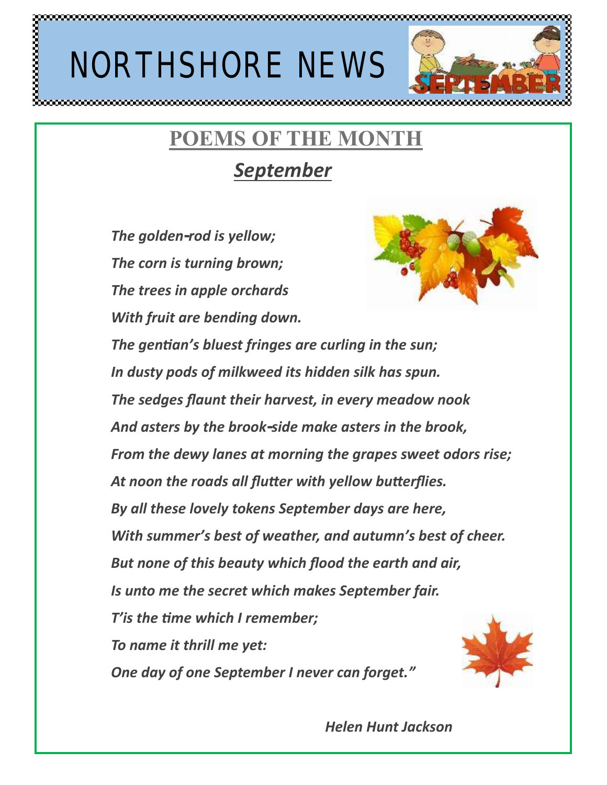**PERSONAL DRUGS** 

### **POEMS OF THE MONTH**

 *September*

*The golden-rod is yellow; The corn is turning brown; The trees in apple orchards With fruit are bending down.*



*The gentian's bluest fringes are curling in the sun; In dusty pods of milkweed its hidden silk has spun. The sedges flaunt their harvest, in every meadow nook And asters by the brook-side make asters in the brook, From the dewy lanes at morning the grapes sweet odors rise; At noon the roads all flutter with yellow butterflies. By all these lovely tokens September days are here, With summer's best of weather, and autumn's best of cheer. But none of this beauty which flood the earth and air, Is unto me the secret which makes September fair. T'is the time which I remember; To name it thrill me yet: One day of one September I never can forget."*

*Helen Hunt Jackson*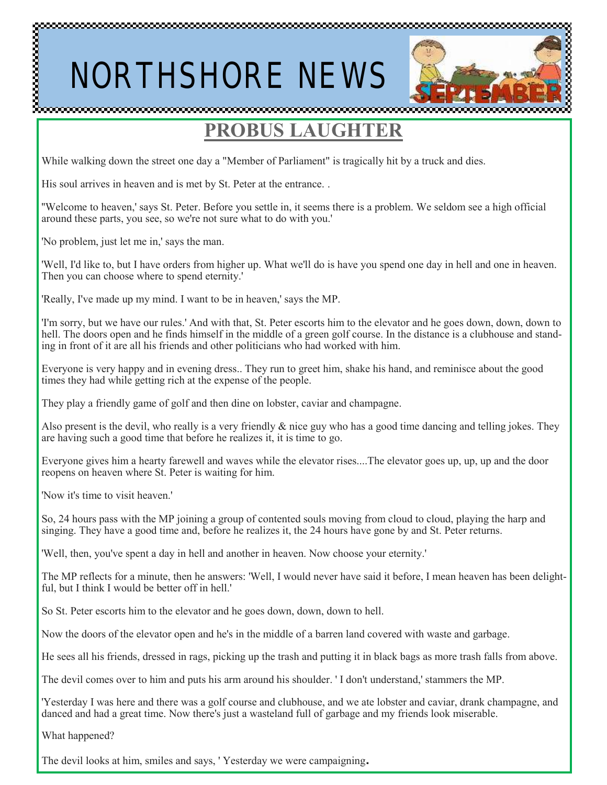# ENDRITHSHORE NEWS

### **PROBUS LAUGHTER**

While walking down the street one day a "Member of Parliament" is tragically hit by a truck and dies.

His soul arrives in heaven and is met by St. Peter at the entrance. .

''Welcome to heaven,' says St. Peter. Before you settle in, it seems there is a problem. We seldom see a high official around these parts, you see, so we're not sure what to do with you.'

'No problem, just let me in,' says the man.

'Well, I'd like to, but I have orders from higher up. What we'll do is have you spend one day in hell and one in heaven. Then you can choose where to spend eternity.'

'Really, I've made up my mind. I want to be in heaven,' says the MP.

'I'm sorry, but we have our rules.' And with that, St. Peter escorts him to the elevator and he goes down, down, down to hell. The doors open and he finds himself in the middle of a green golf course. In the distance is a clubhouse and standing in front of it are all his friends and other politicians who had worked with him.

Everyone is very happy and in evening dress.. They run to greet him, shake his hand, and reminisce about the good times they had while getting rich at the expense of the people.

They play a friendly game of golf and then dine on lobster, caviar and champagne.

Also present is the devil, who really is a very friendly  $\&$  nice guy who has a good time dancing and telling jokes. They are having such a good time that before he realizes it, it is time to go.

Everyone gives him a hearty farewell and waves while the elevator rises....The elevator goes up, up, up and the door reopens on heaven where St. Peter is waiting for him.

'Now it's time to visit heaven.'

So, 24 hours pass with the MP joining a group of contented souls moving from cloud to cloud, playing the harp and singing. They have a good time and, before he realizes it, the 24 hours have gone by and St. Peter returns.

'Well, then, you've spent a day in hell and another in heaven. Now choose your eternity.'

The MP reflects for a minute, then he answers: 'Well, I would never have said it before, I mean heaven has been delightful, but I think I would be better off in hell.'

So St. Peter escorts him to the elevator and he goes down, down, down to hell.

Now the doors of the elevator open and he's in the middle of a barren land covered with waste and garbage.

He sees all his friends, dressed in rags, picking up the trash and putting it in black bags as more trash falls from above.

The devil comes over to him and puts his arm around his shoulder. ' I don't understand,' stammers the MP.

'Yesterday I was here and there was a golf course and clubhouse, and we ate lobster and caviar, drank champagne, and danced and had a great time. Now there's just a wasteland full of garbage and my friends look miserable.

What happened?

The devil looks at him, smiles and says, ' Yesterday we were campaigning**.**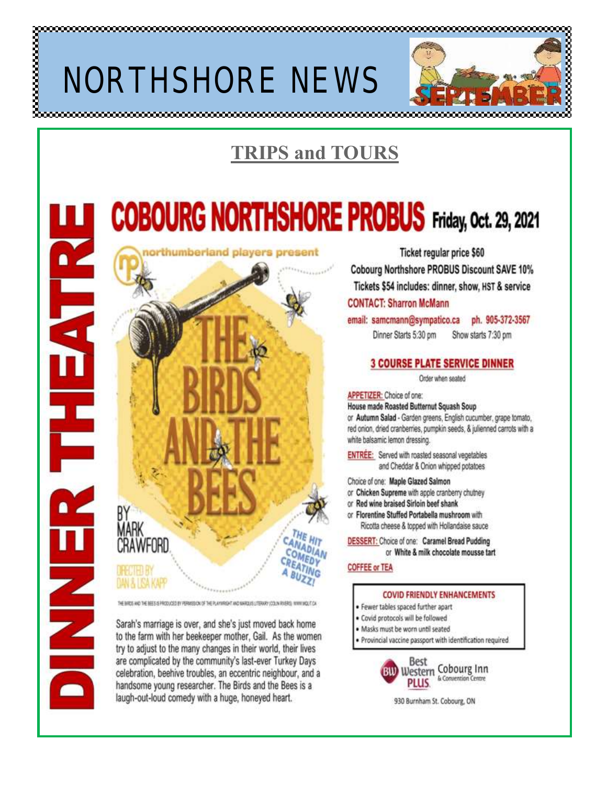

### **TRIPS and TOURS**

**COBOURG NORTHSHORE PROBUS** Friday, Oct. 29, 2021

northumberland players present

Ticket regular price \$60

Cobourg Northshore PROBUS Discount SAVE 10% Tickets \$54 includes: dinner, show, HST & service **CONTACT: Sharron McMann** 

email: samcmann@sympatico.ca ph. 905-372-3567 Dinner Starts 5:30 pm

Show starts 7:30 pm

#### **3 COURSE PLATE SERVICE DINNER**

Order when seated

APPETIZER: Choice of one:

House made Roasted Butternut Squash Soup

or Autumn Salad - Garden greens, English cucumber, grape tomato, red onion, dried cranberries, pumpkin seeds, & julienned carrots with a white balsamic lemon dressing.

ENTRÉE: Served with roasted seasonal vegetables and Cheddar & Onion whipped potatoes

Choice of one: Maple Glazed Salmon

- or Chicken Supreme with apple cranberry chutney
- or Red wine braised Sirloin beef shank

or Florentine Stuffed Portabella mushroom with Ricotta cheese & topped with Hollandaise sauce

DESSERT: Choice of one: Caramel Bread Pudding or White & milk chocolate mousse tart

**COFFEE or TEA** 

#### **COVID FRIENDLY ENHANCEMENTS**

- Fewer tables spaced further apart
- · Covid protocols will be followed
- · Masks must be worn until seated
- Provincial vaccine passport with identification required



930 Burnham St. Cobourg, ON

THE BIRDS AND THE BEES IS PRODUCED BY PERMISSION OF THE PLAYIBRENT AND BARDLIS LITERARY COLON RISES, WWW.MOUT CA

Sarah's marriage is over, and she's just moved back home to the farm with her beekeeper mother, Gail. As the women try to adjust to the many changes in their world, their lives are complicated by the community's last-ever Turkey Days celebration, beehive troubles, an eccentric neighbour, and a handsome young researcher. The Birds and the Bees is a laugh-out-loud comedy with a huge, honeyed heart.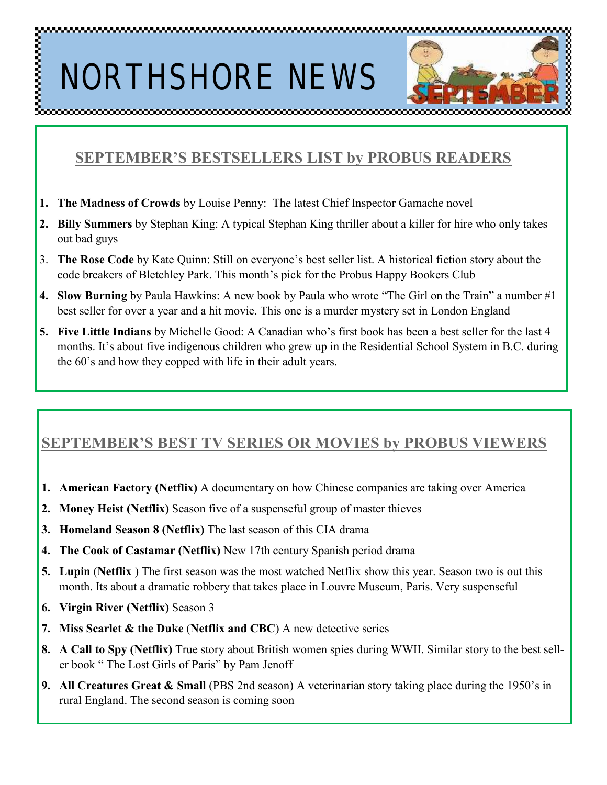

### **SEPTEMBER'S BESTSELLERS LIST by PROBUS READERS**

- **1. The Madness of Crowds** by Louise Penny: The latest Chief Inspector Gamache novel
- **2. Billy Summers** by Stephan King: A typical Stephan King thriller about a killer for hire who only takes out bad guys
- 3. **The Rose Code** by Kate Quinn: Still on everyone's best seller list. A historical fiction story about the code breakers of Bletchley Park. This month's pick for the Probus Happy Bookers Club
- **4. Slow Burning** by Paula Hawkins: A new book by Paula who wrote "The Girl on the Train" a number #1 best seller for over a year and a hit movie. This one is a murder mystery set in London England
- **5. Five Little Indians** by Michelle Good: A Canadian who's first book has been a best seller for the last 4 months. It's about five indigenous children who grew up in the Residential School System in B.C. during the 60's and how they copped with life in their adult years.

### **SEPTEMBER'S BEST TV SERIES OR MOVIES by PROBUS VIEWERS**

- **1. American Factory (Netflix)** A documentary on how Chinese companies are taking over America
- **2. Money Heist (Netflix)** Season five of a suspenseful group of master thieves
- **3. Homeland Season 8 (Netflix)** The last season of this CIA drama
- **4. The Cook of Castamar (Netflix)** New 17th century Spanish period drama
- **5. Lupin** (**Netflix** ) The first season was the most watched Netflix show this year. Season two is out this month. Its about a dramatic robbery that takes place in Louvre Museum, Paris. Very suspenseful
- **6. Virgin River (Netflix)** Season 3
- **7. Miss Scarlet & the Duke** (**Netflix and CBC**) A new detective series
- **8. A Call to Spy (Netflix)** True story about British women spies during WWII. Similar story to the best seller book " The Lost Girls of Paris" by Pam Jenoff
- **9. All Creatures Great & Small** (PBS 2nd season) A veterinarian story taking place during the 1950's in rural England. The second season is coming soon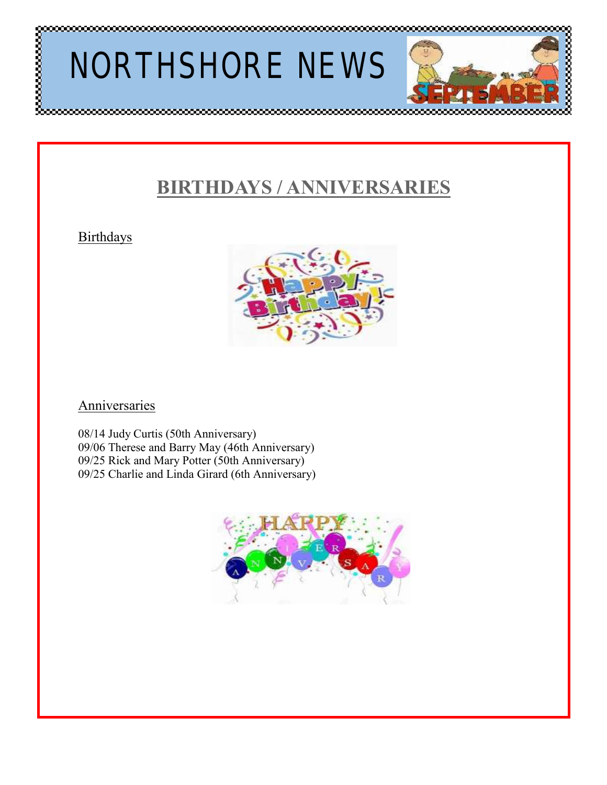

### **Birthdays**



#### Anniversaries

08/14 Judy Curtis (50th Anniversary) 09/06 Therese and Barry May (46th Anniversary) 09/25 Rick and Mary Potter (50th Anniversary) 09/25 Charlie and Linda Girard (6th Anniversary)

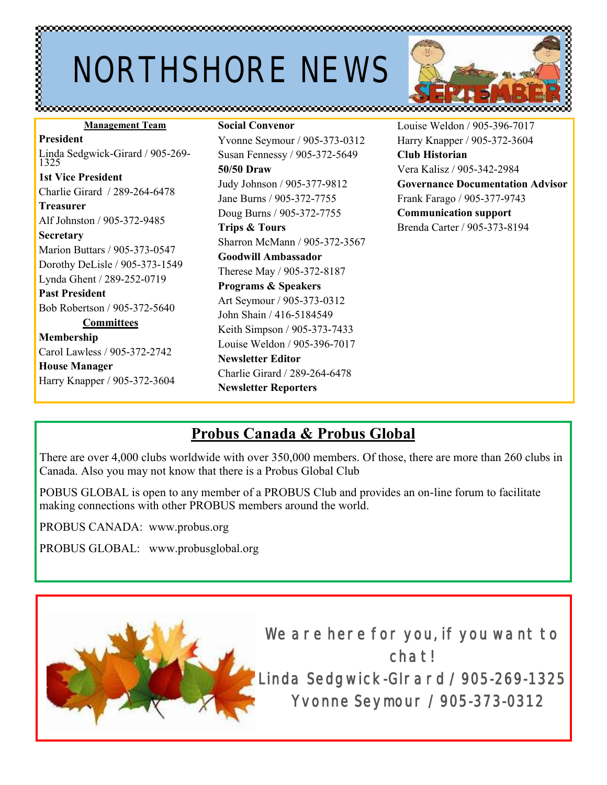**Social Convenor**



**Management Team President** Linda Sedgwick-Girard / 905-269- 1325 **1st Vice President** Charlie Girard / 289-264-6478 **Treasurer** Alf Johnston / 905-372-9485 **Secretary** Marion Buttars / 905-373-0547 Dorothy DeLisle / 905-373-1549 Lynda Ghent / 289-252-0719 **Past President** Bob Robertson / 905-372-5640 **Committees Membership** Carol Lawless / 905-372-2742

**House Manager** Harry Knapper / 905-372-3604

Yvonne Seymour / 905-373-0312 Susan Fennessy / 905-372-5649 **50/50 Draw**  Judy Johnson / 905-377-9812 Jane Burns / 905-372-7755 Doug Burns / 905-372-7755 **Trips & Tours**

Sharron McMann / 905-372-3567 **Goodwill Ambassador**

Therese May / 905-372-8187 **Programs & Speakers** Art Seymour / 905-373-0312 John Shain / 416-5184549 Keith Simpson / 905-373-7433 Louise Weldon / 905-396-7017 **Newsletter Editor** Charlie Girard / 289-264-6478 **Newsletter Reporters**

Louise Weldon / 905-396-7017 Harry Knapper / 905-372-3604 **Club Historian** Vera Kalisz / 905-342-2984 **Governance Documentation Advisor** Frank Farago / 905-377-9743 **Communication support** Brenda Carter / 905-373-8194

### **Probus Canada & Probus Global**

There are over 4,000 clubs worldwide with over 350,000 members. Of those, there are more than 260 clubs in Canada. Also you may not know that there is a Probus Global Club

POBUS GLOBAL is open to any member of a PROBUS Club and provides an on-line forum to facilitate making connections with other PROBUS members around the world.

PROBUS CANADA: www.probus.org

PROBUS GLOBAL: www.probusglobal.org



We are here for you, if you want to chat! Linda Sedgwick-GIrard / 905-269-1325 Yvonne Seymour / 905-373-0312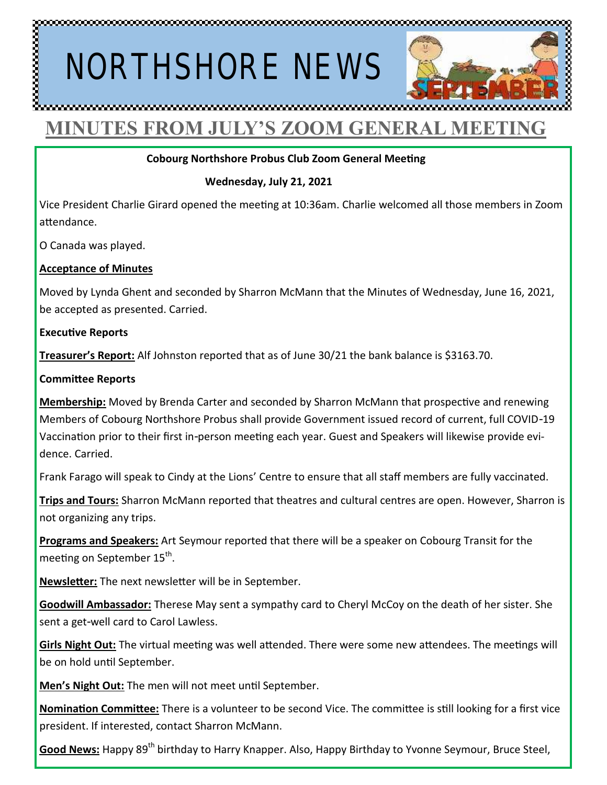

### **Manazarta Manazarta MINUTES FROM JULY'S ZOOM GENERAL MEETING**

#### **Cobourg Northshore Probus Club Zoom General Meeting**

#### **Wednesday, July 21, 2021**

Vice President Charlie Girard opened the meeting at 10:36am. Charlie welcomed all those members in Zoom attendance.

O Canada was played.

**Processessesses** 

#### **Acceptance of Minutes**

Moved by Lynda Ghent and seconded by Sharron McMann that the Minutes of Wednesday, June 16, 2021, be accepted as presented. Carried.

#### **Executive Reports**

**Treasurer's Report:** Alf Johnston reported that as of June 30/21 the bank balance is \$3163.70.

#### **Committee Reports**

**Membership:** Moved by Brenda Carter and seconded by Sharron McMann that prospective and renewing Members of Cobourg Northshore Probus shall provide Government issued record of current, full COVID-19 Vaccination prior to their first in-person meeting each year. Guest and Speakers will likewise provide evidence. Carried.

Frank Farago will speak to Cindy at the Lions' Centre to ensure that all staff members are fully vaccinated.

**Trips and Tours:** Sharron McMann reported that theatres and cultural centres are open. However, Sharron is not organizing any trips.

**Programs and Speakers:** Art Seymour reported that there will be a speaker on Cobourg Transit for the meeting on September 15 $^{\text{th}}$ .

**Newsletter:** The next newsletter will be in September.

**Goodwill Ambassador:** Therese May sent a sympathy card to Cheryl McCoy on the death of her sister. She sent a get-well card to Carol Lawless.

**Girls Night Out:** The virtual meeting was well attended. There were some new attendees. The meetings will be on hold until September.

**Men's Night Out:** The men will not meet until September.

**Nomination Committee:** There is a volunteer to be second Vice. The committee is still looking for a first vice president. If interested, contact Sharron McMann.

Good News: Happy 89<sup>th</sup> birthday to Harry Knapper. Also, Happy Birthday to Yvonne Seymour, Bruce Steel,